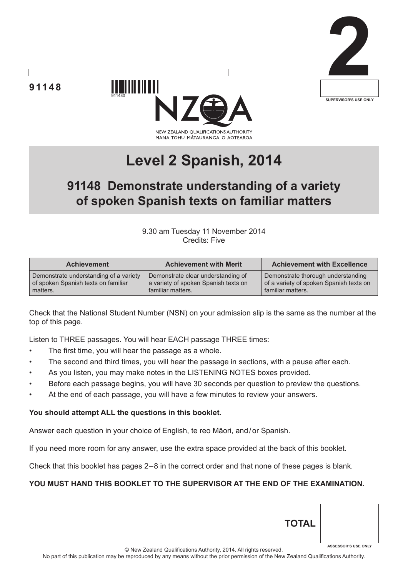





# **Level 2 Spanish, 2014**

# **91148 Demonstrate understanding of a variety of spoken Spanish texts on familiar matters**

9.30 am Tuesday 11 November 2014 Credits: Five

| <b>Achievement</b>                     | <b>Achievement with Merit</b>        | <b>Achievement with Excellence</b>      |
|----------------------------------------|--------------------------------------|-----------------------------------------|
| Demonstrate understanding of a variety | Demonstrate clear understanding of   | Demonstrate thorough understanding      |
| of spoken Spanish texts on familiar    | a variety of spoken Spanish texts on | of a variety of spoken Spanish texts on |
| matters.                               | familiar matters.                    | familiar matters.                       |

Check that the National Student Number (NSN) on your admission slip is the same as the number at the top of this page.

Listen to THREE passages. You will hear EACH passage THREE times:

- The first time, you will hear the passage as a whole.
- The second and third times, you will hear the passage in sections, with a pause after each.
- As you listen, you may make notes in the LISTENING NOTES boxes provided.
- Before each passage begins, you will have 30 seconds per question to preview the questions.
- At the end of each passage, you will have a few minutes to review your answers.

#### **You should attempt ALL the questions in this booklet.**

Answer each question in your choice of English, te reo Māori, and/or Spanish.

If you need more room for any answer, use the extra space provided at the back of this booklet.

Check that this booklet has pages 2 – 8 in the correct order and that none of these pages is blank.

#### **YOU MUST HAND THIS BOOKLET TO THE SUPERVISOR AT THE END OF THE EXAMINATION.**

**TOTAL**

**ASSESSOR'S USE ONLY**

**91148**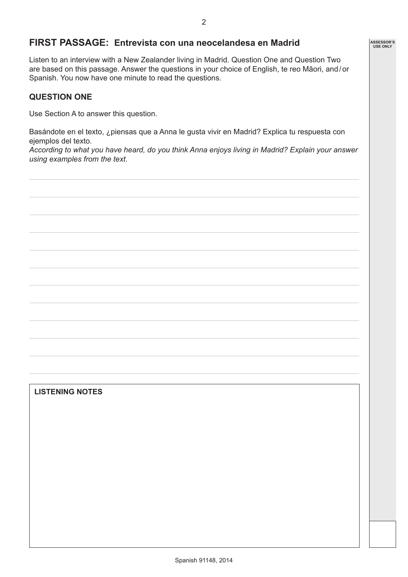# **FIRST PASSAGE: Entrevista con una neocelandesa en Madrid**

Listen to an interview with a New Zealander living in Madrid. Question One and Question Two are based on this passage. Answer the questions in your choice of English, te reo Māori, and/or Spanish. You now have one minute to read the questions.

#### **QUESTION ONE**

Use Section A to answer this question.

Basándote en el texto, ¿piensas que a Anna le gusta vivir en Madrid? Explica tu respuesta con ejemplos del texto.

*According to what you have heard, do you think Anna enjoys living in Madrid? Explain your answer using examples from the text.*

#### **LISTENING NOTES**

**ASSESSOR'S USE ONLY**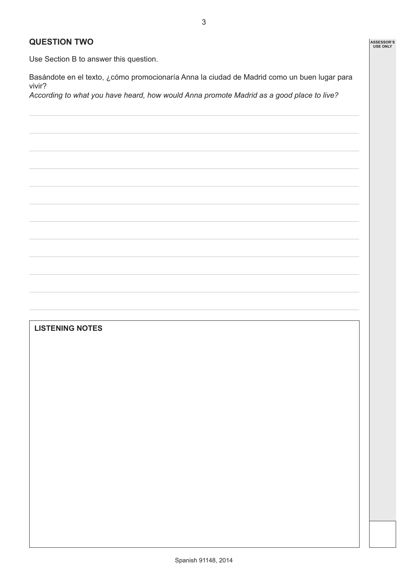#### **QUESTION TWO**

Use Section B to answer this question.

Basándote en el texto, ¿cómo promocionaría Anna la ciudad de Madrid como un buen lugar para vivir?

*According to what you have heard, how would Anna promote Madrid as a good place to live?*

# **LISTENING NOTES**

**ASSESSOR'S USE ONLY**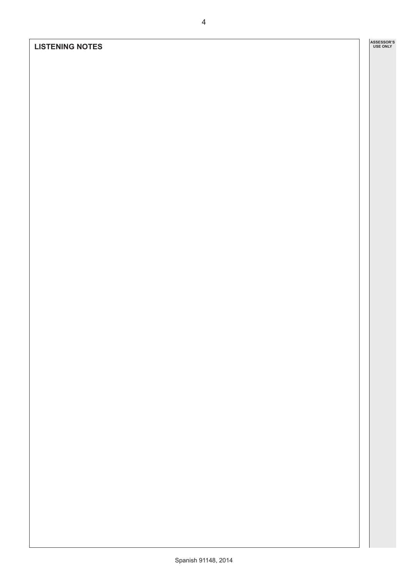### **LISTENING NOTES**

**ASSESSOR'S USE ONLY**

4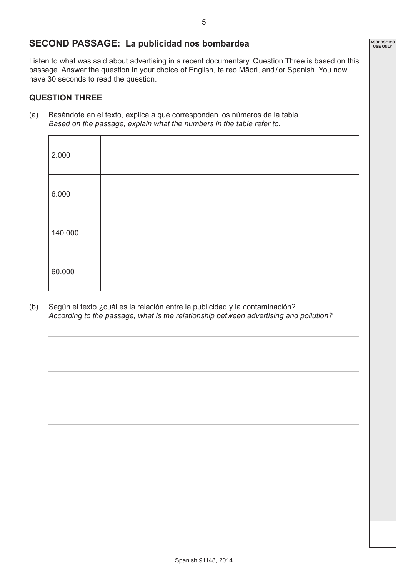# **SECOND PASSAGE: La publicidad nos bombardea**

Listen to what was said about advertising in a recent documentary. Question Three is based on this passage. Answer the question in your choice of English, te reo Māori, and/or Spanish. You now have 30 seconds to read the question.

#### **QUESTION THREE**

(a) Basándote en el texto, explica a qué corresponden los números de la tabla. *Based on the passage, explain what the numbers in the table refer to.*

| 2.000   |  |
|---------|--|
| 6.000   |  |
| 140.000 |  |
| 60.000  |  |

(b) Según el texto ¿cuál es la relación entre la publicidad y la contaminación? *According to the passage, what is the relationship between advertising and pollution?*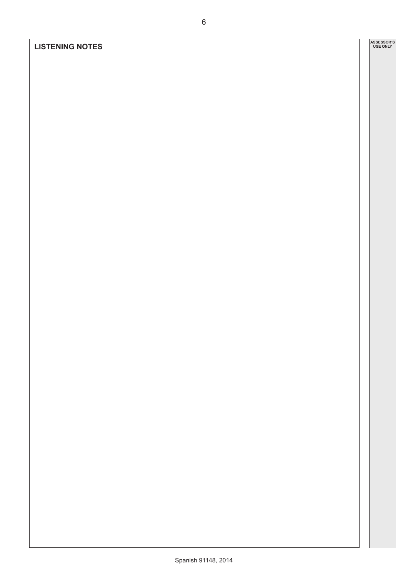### **LISTENING NOTES**

**ASSESSOR'S USE ONLY**

6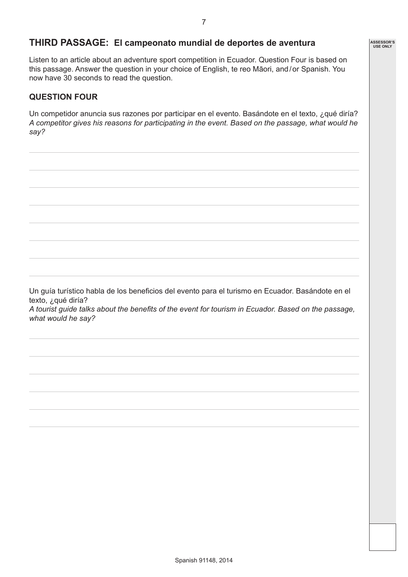**ASSESSOR'S USE ONLY**

# **THIRD PASSAGE: El campeonato mundial de deportes de aventura**

Listen to an article about an adventure sport competition in Ecuador. Question Four is based on this passage. Answer the question in your choice of English, te reo Māori, and/or Spanish. You now have 30 seconds to read the question.

#### **QUESTION FOUR**

Un competidor anuncia sus razones por participar en el evento. Basándote en el texto, ¿qué diría? *A competitor gives his reasons for participating in the event. Based on the passage, what would he say?*

Un guía turístico habla de los beneficios del evento para el turismo en Ecuador. Basándote en el texto, ¿qué diría? *A tourist guide talks about the benefits of the event for tourism in Ecuador. Based on the passage, what would he say?*